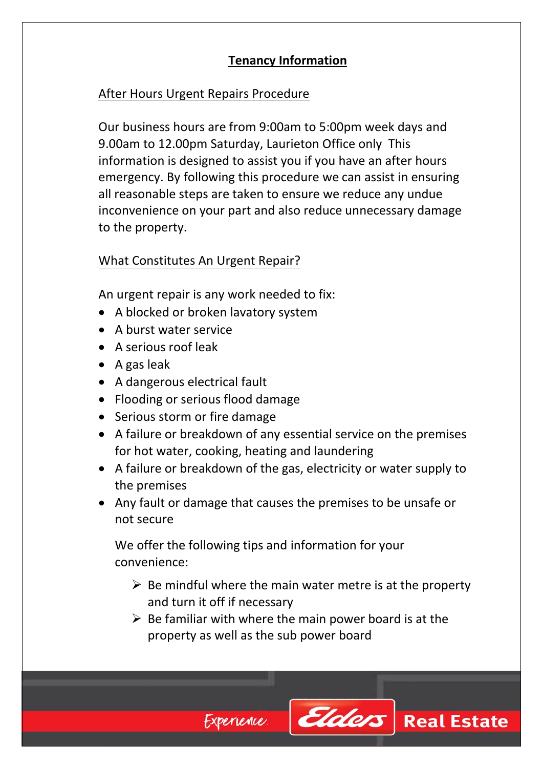## **Tenancy Information**

## After Hours Urgent Repairs Procedure

Our business hours are from 9:00am to 5:00pm week days and 9.00am to 12.00pm Saturday, Laurieton Office only This information is designed to assist you if you have an after hours emergency. By following this procedure we can assist in ensuring all reasonable steps are taken to ensure we reduce any undue inconvenience on your part and also reduce unnecessary damage to the property.

## What Constitutes An Urgent Repair?

An urgent repair is any work needed to fix:

- A blocked or broken lavatory system
- A burst water service
- A serious roof leak
- A gas leak
- A dangerous electrical fault
- Flooding or serious flood damage
- Serious storm or fire damage
- A failure or breakdown of any essential service on the premises for hot water, cooking, heating and laundering
- A failure or breakdown of the gas, electricity or water supply to the premises
- Any fault or damage that causes the premises to be unsafe or not secure

We offer the following tips and information for your convenience:

- $\triangleright$  Be mindful where the main water metre is at the property and turn it off if necessary
- $\triangleright$  Be familiar with where the main power board is at the property as well as the sub power board